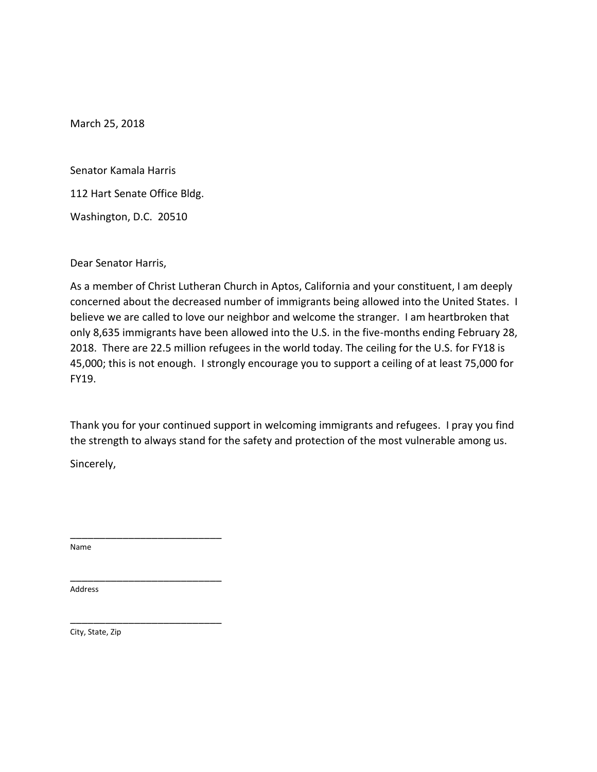Senator Kamala Harris

112 Hart Senate Office Bldg.

Washington, D.C. 20510

Dear Senator Harris,

As a member of Christ Lutheran Church in Aptos, California and your constituent, I am deeply concerned about the decreased number of immigrants being allowed into the United States. I believe we are called to love our neighbor and welcome the stranger. I am heartbroken that only 8,635 immigrants have been allowed into the U.S. in the five-months ending February 28, 2018. There are 22.5 million refugees in the world today. The ceiling for the U.S. for FY18 is 45,000; this is not enough. I strongly encourage you to support a ceiling of at least 75,000 for FY19.

Thank you for your continued support in welcoming immigrants and refugees. I pray you find the strength to always stand for the safety and protection of the most vulnerable among us.

Sincerely,

\_\_\_\_\_\_\_\_\_\_\_\_\_\_\_\_\_\_\_\_\_\_\_\_\_\_

\_\_\_\_\_\_\_\_\_\_\_\_\_\_\_\_\_\_\_\_\_\_\_\_\_\_

\_\_\_\_\_\_\_\_\_\_\_\_\_\_\_\_\_\_\_\_\_\_\_\_\_\_

Name

Address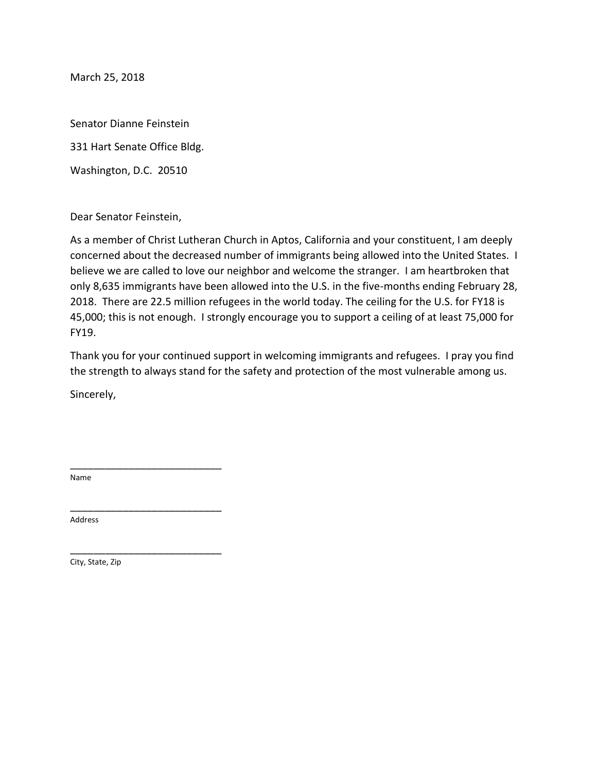Senator Dianne Feinstein

331 Hart Senate Office Bldg.

Washington, D.C. 20510

Dear Senator Feinstein,

As a member of Christ Lutheran Church in Aptos, California and your constituent, I am deeply concerned about the decreased number of immigrants being allowed into the United States. I believe we are called to love our neighbor and welcome the stranger. I am heartbroken that only 8,635 immigrants have been allowed into the U.S. in the five-months ending February 28, 2018. There are 22.5 million refugees in the world today. The ceiling for the U.S. for FY18 is 45,000; this is not enough. I strongly encourage you to support a ceiling of at least 75,000 for FY19.

Thank you for your continued support in welcoming immigrants and refugees. I pray you find the strength to always stand for the safety and protection of the most vulnerable among us.

Sincerely,

\_\_\_\_\_\_\_\_\_\_\_\_\_\_\_\_\_\_\_\_\_\_\_\_\_\_

\_\_\_\_\_\_\_\_\_\_\_\_\_\_\_\_\_\_\_\_\_\_\_\_\_\_

\_\_\_\_\_\_\_\_\_\_\_\_\_\_\_\_\_\_\_\_\_\_\_\_\_\_

Name

Address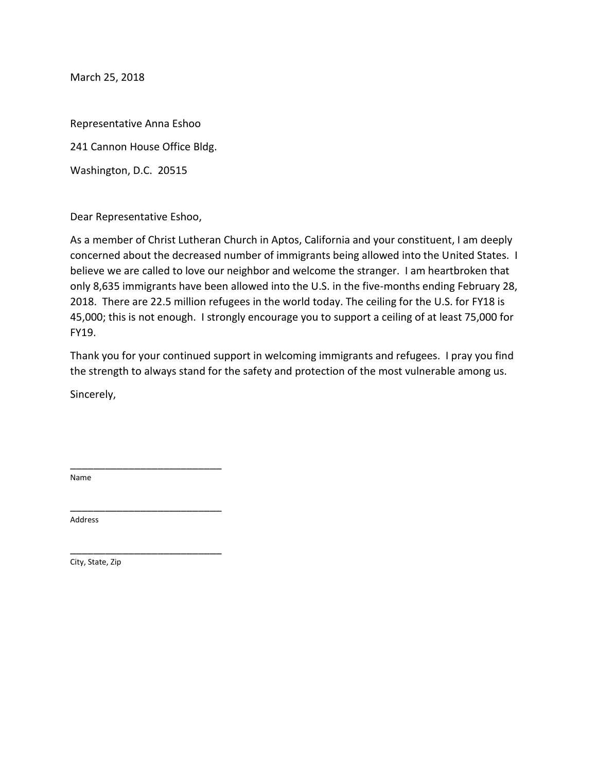Representative Anna Eshoo

241 Cannon House Office Bldg.

Washington, D.C. 20515

Dear Representative Eshoo,

\_\_\_\_\_\_\_\_\_\_\_\_\_\_\_\_\_\_\_\_\_\_\_\_\_\_

\_\_\_\_\_\_\_\_\_\_\_\_\_\_\_\_\_\_\_\_\_\_\_\_\_\_

\_\_\_\_\_\_\_\_\_\_\_\_\_\_\_\_\_\_\_\_\_\_\_\_\_\_

As a member of Christ Lutheran Church in Aptos, California and your constituent, I am deeply concerned about the decreased number of immigrants being allowed into the United States. I believe we are called to love our neighbor and welcome the stranger. I am heartbroken that only 8,635 immigrants have been allowed into the U.S. in the five-months ending February 28, 2018. There are 22.5 million refugees in the world today. The ceiling for the U.S. for FY18 is 45,000; this is not enough. I strongly encourage you to support a ceiling of at least 75,000 for FY19.

Thank you for your continued support in welcoming immigrants and refugees. I pray you find the strength to always stand for the safety and protection of the most vulnerable among us.

Sincerely,

Name

Address